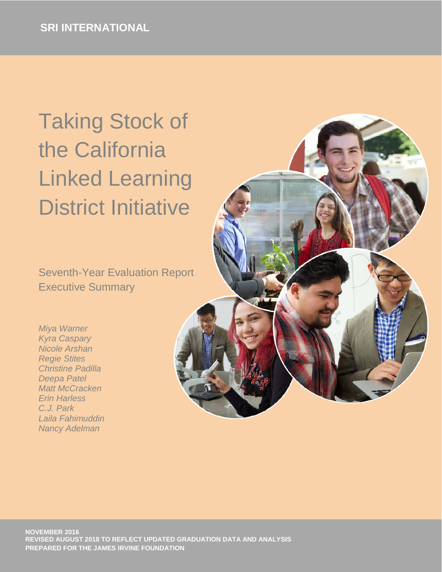# Taking Stock of the California Linked Learning District Initiative

Seventh-Year Evaluation Report Executive Summary

*Miya Warner Kyra Caspary Nicole Arshan Regie Stites Christine Padilla Deepa Patel Matt McCracken Erin Harless C.J. Park Laila Fahimuddin Nancy Adelman*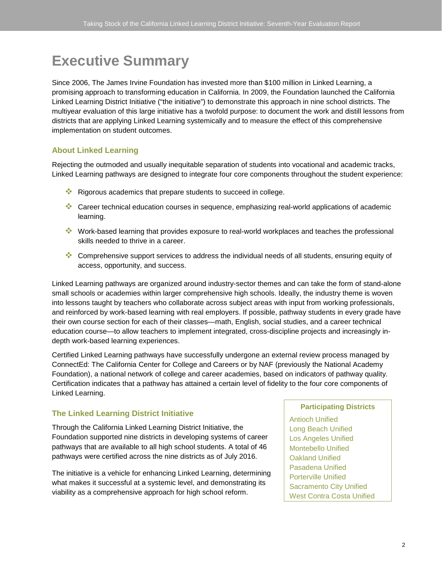# **Executive Summary**

Since 2006, The James Irvine Foundation has invested more than \$100 million in Linked Learning, a promising approach to transforming education in California. In 2009, the Foundation launched the California Linked Learning District Initiative ("the initiative") to demonstrate this approach in nine school districts. The multiyear evaluation of this large initiative has a twofold purpose: to document the work and distill lessons from districts that are applying Linked Learning systemically and to measure the effect of this comprehensive implementation on student outcomes.

#### **About Linked Learning**

Rejecting the outmoded and usually inequitable separation of students into vocational and academic tracks, Linked Learning pathways are designed to integrate four core components throughout the student experience:

- Rigorous academics that prepare students to succeed in college.
- Career technical education courses in sequence, emphasizing real-world applications of academic learning.
- Work-based learning that provides exposure to real-world workplaces and teaches the professional skills needed to thrive in a career.
- Comprehensive support services to address the individual needs of all students, ensuring equity of access, opportunity, and success.

Linked Learning pathways are organized around industry-sector themes and can take the form of stand-alone small schools or academies within larger comprehensive high schools. Ideally, the industry theme is woven into lessons taught by teachers who collaborate across subject areas with input from working professionals, and reinforced by work-based learning with real employers. If possible, pathway students in every grade have their own course section for each of their classes—math, English, social studies, and a career technical education course—to allow teachers to implement integrated, cross-discipline projects and increasingly indepth work-based learning experiences.

Certified Linked Learning pathways have successfully undergone an external review process managed by ConnectEd: The California Center for College and Careers or by NAF (previously the National Academy Foundation), a national network of college and career academies, based on indicators of pathway quality. Certification indicates that a pathway has attained a certain level of fidelity to the four core components of Linked Learning.

# **The Linked Learning District Initiative**

Through the California Linked Learning District Initiative, the Foundation supported nine districts in developing systems of career pathways that are available to all high school students. A total of 46 pathways were certified across the nine districts as of July 2016.

The initiative is a vehicle for enhancing Linked Learning, determining what makes it successful at a systemic level, and demonstrating its viability as a comprehensive approach for high school reform.

#### **Participating Districts**

Antioch Unified Long Beach Unified Los Angeles Unified Montebello Unified Oakland Unified Pasadena Unified Porterville Unified Sacramento City Unified West Contra Costa Unified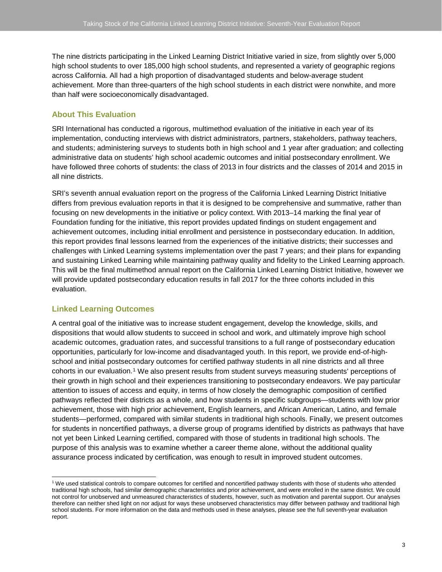The nine districts participating in the Linked Learning District Initiative varied in size, from slightly over 5,000 high school students to over 185,000 high school students, and represented a variety of geographic regions across California. All had a high proportion of disadvantaged students and below-average student achievement. More than three-quarters of the high school students in each district were nonwhite, and more than half were socioeconomically disadvantaged.

# **About This Evaluation**

SRI International has conducted a rigorous, multimethod evaluation of the initiative in each year of its implementation, conducting interviews with district administrators, partners, stakeholders, pathway teachers, and students; administering surveys to students both in high school and 1 year after graduation; and collecting administrative data on students' high school academic outcomes and initial postsecondary enrollment. We have followed three cohorts of students: the class of 2013 in four districts and the classes of 2014 and 2015 in all nine districts.

SRI's seventh annual evaluation report on the progress of the California Linked Learning District Initiative differs from previous evaluation reports in that it is designed to be comprehensive and summative, rather than focusing on new developments in the initiative or policy context. With 2013–14 marking the final year of Foundation funding for the initiative, this report provides updated findings on student engagement and achievement outcomes, including initial enrollment and persistence in postsecondary education. In addition, this report provides final lessons learned from the experiences of the initiative districts; their successes and challenges with Linked Learning systems implementation over the past 7 years; and their plans for expanding and sustaining Linked Learning while maintaining pathway quality and fidelity to the Linked Learning approach. This will be the final multimethod annual report on the California Linked Learning District Initiative, however we will provide updated postsecondary education results in fall 2017 for the three cohorts included in this evaluation.

# **Linked Learning Outcomes**

A central goal of the initiative was to increase student engagement, develop the knowledge, skills, and dispositions that would allow students to succeed in school and work, and ultimately improve high school academic outcomes, graduation rates, and successful transitions to a full range of postsecondary education opportunities, particularly for low-income and disadvantaged youth. In this report, we provide end-of-highschool and initial postsecondary outcomes for certified pathway students in all nine districts and all three cohorts in our evaluation.[1](#page-2-0) We also present results from student surveys measuring students' perceptions of their growth in high school and their experiences transitioning to postsecondary endeavors. We pay particular attention to issues of access and equity, in terms of how closely the demographic composition of certified pathways reflected their districts as a whole, and how students in specific subgroups—students with low prior achievement, those with high prior achievement, English learners, and African American, Latino, and female students—performed, compared with similar students in traditional high schools. Finally, we present outcomes for students in noncertified pathways, a diverse group of programs identified by districts as pathways that have not yet been Linked Learning certified, compared with those of students in traditional high schools. The purpose of this analysis was to examine whether a career theme alone, without the additional quality assurance process indicated by certification, was enough to result in improved student outcomes.

<span id="page-2-0"></span><sup>&</sup>lt;sup>1</sup> We used statistical controls to compare outcomes for certified and noncertified pathway students with those of students who attended traditional high schools, had similar demographic characteristics and prior achievement, and were enrolled in the same district. We could not control for unobserved and unmeasured characteristics of students, however, such as motivation and parental support. Our analyses therefore can neither shed light on nor adjust for ways these unobserved characteristics may differ between pathway and traditional high school students. For more information on the data and methods used in these analyses, please see the full seventh-year evaluation report.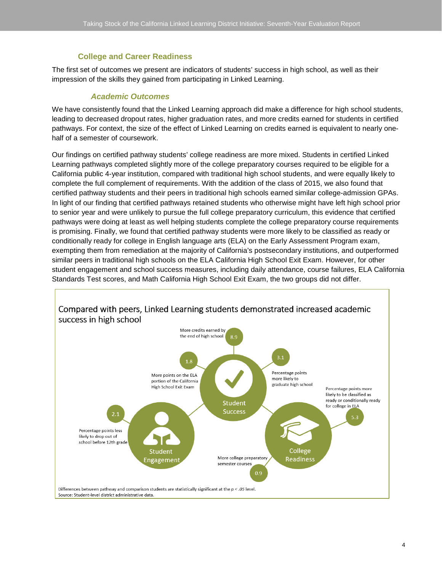#### **College and Career Readiness**

The first set of outcomes we present are indicators of students' success in high school, as well as their impression of the skills they gained from participating in Linked Learning.

#### *Academic Outcomes*

We have consistently found that the Linked Learning approach did make a difference for high school students, leading to decreased dropout rates, higher graduation rates, and more credits earned for students in certified pathways. For context, the size of the effect of Linked Learning on credits earned is equivalent to nearly onehalf of a semester of coursework.

Our findings on certified pathway students' college readiness are more mixed. Students in certified Linked Learning pathways completed slightly more of the college preparatory courses required to be eligible for a California public 4-year institution, compared with traditional high school students, and were equally likely to complete the full complement of requirements. With the addition of the class of 2015, we also found that certified pathway students and their peers in traditional high schools earned similar college-admission GPAs. In light of our finding that certified pathways retained students who otherwise might have left high school prior to senior year and were unlikely to pursue the full college preparatory curriculum, this evidence that certified pathways were doing at least as well helping students complete the college preparatory course requirements is promising. Finally, we found that certified pathway students were more likely to be classified as ready or conditionally ready for college in English language arts (ELA) on the Early Assessment Program exam, exempting them from remediation at the majority of California's postsecondary institutions, and outperformed similar peers in traditional high schools on the ELA California High School Exit Exam. However, for other student engagement and school success measures, including daily attendance, course failures, ELA California Standards Test scores, and Math California High School Exit Exam, the two groups did not differ.



4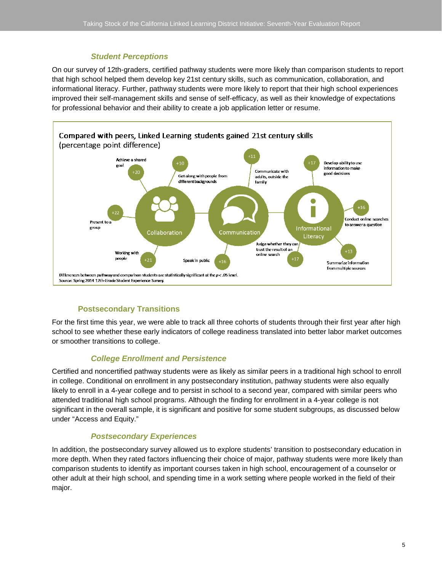# *Student Perceptions*

On our survey of 12th-graders, certified pathway students were more likely than comparison students to report that high school helped them develop key 21st century skills, such as communication, collaboration, and informational literacy. Further, pathway students were more likely to report that their high school experiences improved their self-management skills and sense of self-efficacy, as well as their knowledge of expectations for professional behavior and their ability to create a job application letter or resume.



# **Postsecondary Transitions**

For the first time this year, we were able to track all three cohorts of students through their first year after high school to see whether these early indicators of college readiness translated into better labor market outcomes or smoother transitions to college.

# *College Enrollment and Persistence*

Certified and noncertified pathway students were as likely as similar peers in a traditional high school to enroll in college. Conditional on enrollment in any postsecondary institution, pathway students were also equally likely to enroll in a 4-year college and to persist in school to a second year, compared with similar peers who attended traditional high school programs. Although the finding for enrollment in a 4-year college is not significant in the overall sample, it is significant and positive for some student subgroups, as discussed below under "Access and Equity."

# *Postsecondary Experiences*

In addition, the postsecondary survey allowed us to explore students' transition to postsecondary education in more depth. When they rated factors influencing their choice of major, pathway students were more likely than comparison students to identify as important courses taken in high school, encouragement of a counselor or other adult at their high school, and spending time in a work setting where people worked in the field of their major.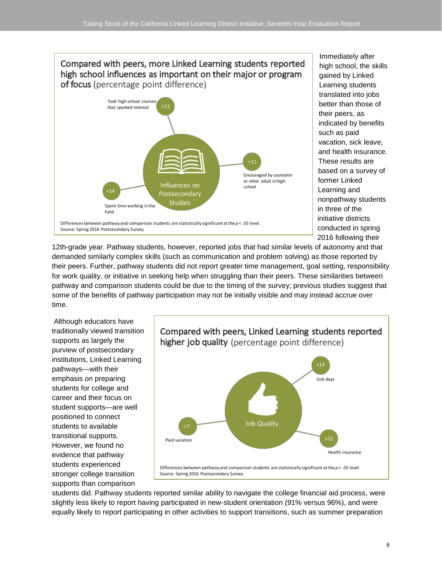# Compared with peers, more Linked Learning students reported high school influences as important on their major or program of focus (percentage point difference)



Immediately after high school, the skills gained by Linked Learning students translated into jobs better than those of their peers, as indicated by benefits such as paid vacation, sick leave, and health insurance. These results are based on a survey of former Linked Learning and nonpathway students in three of the initiative districts conducted in spring 2016 following their

12th-grade year. Pathway students, however, reported jobs that had similar levels of autonomy and that demanded similarly complex skills (such as communication and problem solving) as those reported by their peers. Further, pathway students did not report greater time management, goal setting, responsibility for work quality, or initiative in seeking help when struggling than their peers. These similarities between pathway and comparison students could be due to the timing of the survey; previous studies suggest that some of the benefits of pathway participation may not be initially visible and may instead accrue over time.

Although educators have traditionally viewed transition supports as largely the purview of postsecondary institutions, Linked Learning pathways—with their emphasis on preparing students for college and career and their focus on student supports—are well positioned to connect students to available transitional supports. However, we found no evidence that pathway students experienced stronger college transition supports than comparison



students did. Pathway students reported similar ability to navigate the college financial aid process, were slightly less likely to report having participated in new-student orientation (91% versus 96%), and were equally likely to report participating in other activities to support transitions, such as summer preparation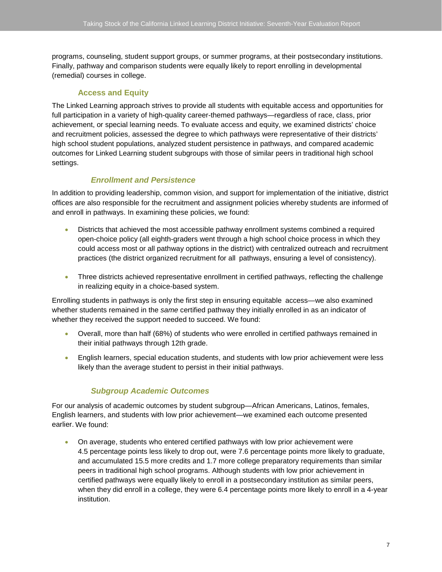programs, counseling, student support groups, or summer programs, at their postsecondary institutions. Finally, pathway and comparison students were equally likely to report enrolling in developmental (remedial) courses in college.

### **Access and Equity**

The Linked Learning approach strives to provide all students with equitable access and opportunities for full participation in a variety of high-quality career-themed pathways—regardless of race, class, prior achievement, or special learning needs. To evaluate access and equity, we examined districts' choice and recruitment policies, assessed the degree to which pathways were representative of their districts' high school student populations, analyzed student persistence in pathways, and compared academic outcomes for Linked Learning student subgroups with those of similar peers in traditional high school settings.

# *Enrollment and Persistence*

In addition to providing leadership, common vision, and support for implementation of the initiative, district offices are also responsible for the recruitment and assignment policies whereby students are informed of and enroll in pathways. In examining these policies, we found:

- Districts that achieved the most accessible pathway enrollment systems combined a required open-choice policy (all eighth-graders went through a high school choice process in which they could access most or all pathway options in the district) with centralized outreach and recruitment practices (the district organized recruitment for all pathways, ensuring a level of consistency).
- Three districts achieved representative enrollment in certified pathways, reflecting the challenge in realizing equity in a choice-based system.

Enrolling students in pathways is only the first step in ensuring equitable access—we also examined whether students remained in the *same* certified pathway they initially enrolled in as an indicator of whether they received the support needed to succeed. We found:

- Overall, more than half (68%) of students who were enrolled in certified pathways remained in their initial pathways through 12th grade.
- English learners, special education students, and students with low prior achievement were less likely than the average student to persist in their initial pathways.

# *Subgroup Academic Outcomes*

For our analysis of academic outcomes by student subgroup—African Americans, Latinos, females, English learners, and students with low prior achievement—we examined each outcome presented earlier. We found:

• On average, students who entered certified pathways with low prior achievement were 4.5 percentage points less likely to drop out, were 7.6 percentage points more likely to graduate, and accumulated 15.5 more credits and 1.7 more college preparatory requirements than similar peers in traditional high school programs. Although students with low prior achievement in certified pathways were equally likely to enroll in a postsecondary institution as similar peers, when they did enroll in a college, they were 6.4 percentage points more likely to enroll in a 4-year institution.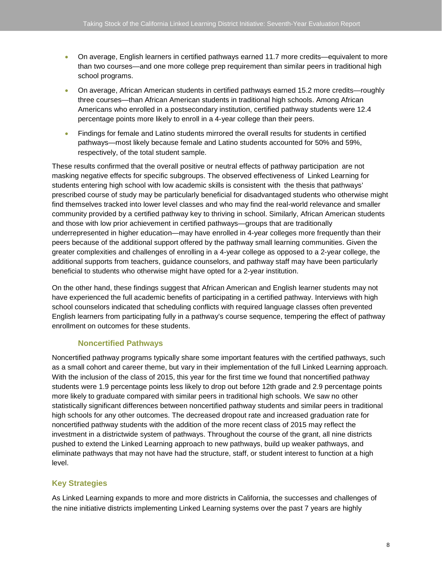- On average, English learners in certified pathways earned 11.7 more credits—equivalent to more than two courses—and one more college prep requirement than similar peers in traditional high school programs.
- On average, African American students in certified pathways earned 15.2 more credits—roughly three courses—than African American students in traditional high schools. Among African Americans who enrolled in a postsecondary institution, certified pathway students were 12.4 percentage points more likely to enroll in a 4-year college than their peers.
- Findings for female and Latino students mirrored the overall results for students in certified pathways—most likely because female and Latino students accounted for 50% and 59%, respectively, of the total student sample.

These results confirmed that the overall positive or neutral effects of pathway participation are not masking negative effects for specific subgroups. The observed effectiveness of Linked Learning for students entering high school with low academic skills is consistent with the thesis that pathways' prescribed course of study may be particularly beneficial for disadvantaged students who otherwise might find themselves tracked into lower level classes and who may find the real-world relevance and smaller community provided by a certified pathway key to thriving in school. Similarly, African American students and those with low prior achievement in certified pathways—groups that are traditionally underrepresented in higher education—may have enrolled in 4-year colleges more frequently than their peers because of the additional support offered by the pathway small learning communities. Given the greater complexities and challenges of enrolling in a 4-year college as opposed to a 2-year college, the additional supports from teachers, guidance counselors, and pathway staff may have been particularly beneficial to students who otherwise might have opted for a 2-year institution.

On the other hand, these findings suggest that African American and English learner students may not have experienced the full academic benefits of participating in a certified pathway. Interviews with high school counselors indicated that scheduling conflicts with required language classes often prevented English learners from participating fully in a pathway's course sequence, tempering the effect of pathway enrollment on outcomes for these students.

# **Noncertified Pathways**

Noncertified pathway programs typically share some important features with the certified pathways, such as a small cohort and career theme, but vary in their implementation of the full Linked Learning approach. With the inclusion of the class of 2015, this year for the first time we found that noncertified pathway students were 1.9 percentage points less likely to drop out before 12th grade and 2.9 percentage points more likely to graduate compared with similar peers in traditional high schools. We saw no other statistically significant differences between noncertified pathway students and similar peers in traditional high schools for any other outcomes. The decreased dropout rate and increased graduation rate for noncertified pathway students with the addition of the more recent class of 2015 may reflect the investment in a districtwide system of pathways. Throughout the course of the grant, all nine districts pushed to extend the Linked Learning approach to new pathways, build up weaker pathways, and eliminate pathways that may not have had the structure, staff, or student interest to function at a high level.

# **Key Strategies**

As Linked Learning expands to more and more districts in California, the successes and challenges of the nine initiative districts implementing Linked Learning systems over the past 7 years are highly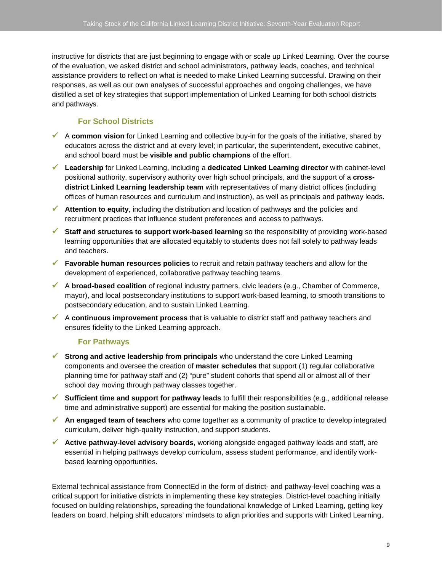instructive for districts that are just beginning to engage with or scale up Linked Learning. Over the course of the evaluation, we asked district and school administrators, pathway leads, coaches, and technical assistance providers to reflect on what is needed to make Linked Learning successful. Drawing on their responses, as well as our own analyses of successful approaches and ongoing challenges, we have distilled a set of key strategies that support implementation of Linked Learning for both school districts and pathways.

# **For School Districts**

- A **common vision** for Linked Learning and collective buy-in for the goals of the initiative, shared by educators across the district and at every level; in particular, the superintendent, executive cabinet, and school board must be **visible and public champions** of the effort.
- **Leadership** for Linked Learning, including a **dedicated Linked Learning director** with cabinet-level positional authority, supervisory authority over high school principals, and the support of a **crossdistrict Linked Learning leadership team** with representatives of many district offices (including offices of human resources and curriculum and instruction), as well as principals and pathway leads.
- **Attention to equity**, including the distribution and location of pathways and the policies and recruitment practices that influence student preferences and access to pathways.
- **Staff and structures to support work-based learning** so the responsibility of providing work-based learning opportunities that are allocated equitably to students does not fall solely to pathway leads and teachers.
- **Favorable human resources policies** to recruit and retain pathway teachers and allow for the development of experienced, collaborative pathway teaching teams.
- A **broad-based coalition** of regional industry partners, civic leaders (e.g., Chamber of Commerce, mayor), and local postsecondary institutions to support work-based learning, to smooth transitions to postsecondary education, and to sustain Linked Learning.
- A **continuous improvement process** that is valuable to district staff and pathway teachers and ensures fidelity to the Linked Learning approach.

# **For Pathways**

- **Strong and active leadership from principals** who understand the core Linked Learning components and oversee the creation of **master schedules** that support (1) regular collaborative planning time for pathway staff and (2) "pure" student cohorts that spend all or almost all of their school day moving through pathway classes together.
- **Sufficient time and support for pathway leads** to fulfill their responsibilities (e.g., additional release time and administrative support) are essential for making the position sustainable.
- **An engaged team of teachers** who come together as a community of practice to develop integrated curriculum, deliver high-quality instruction, and support students.
- **Active pathway-level advisory boards**, working alongside engaged pathway leads and staff, are essential in helping pathways develop curriculum, assess student performance, and identify workbased learning opportunities.

External technical assistance from ConnectEd in the form of district- and pathway-level coaching was a critical support for initiative districts in implementing these key strategies. District-level coaching initially focused on building relationships, spreading the foundational knowledge of Linked Learning, getting key leaders on board, helping shift educators' mindsets to align priorities and supports with Linked Learning,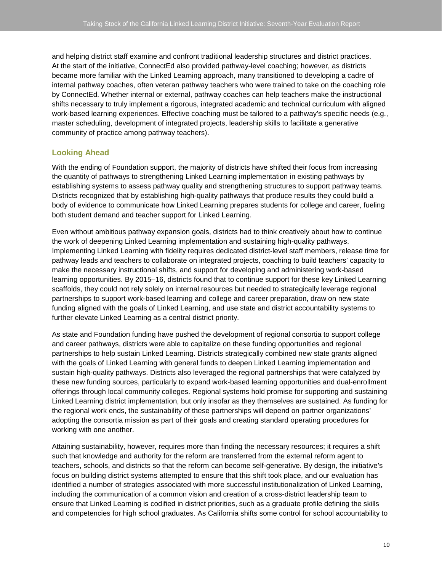and helping district staff examine and confront traditional leadership structures and district practices. At the start of the initiative, ConnectEd also provided pathway-level coaching; however, as districts became more familiar with the Linked Learning approach, many transitioned to developing a cadre of internal pathway coaches, often veteran pathway teachers who were trained to take on the coaching role by ConnectEd. Whether internal or external, pathway coaches can help teachers make the instructional shifts necessary to truly implement a rigorous, integrated academic and technical curriculum with aligned work-based learning experiences. Effective coaching must be tailored to a pathway's specific needs (e.g., master scheduling, development of integrated projects, leadership skills to facilitate a generative community of practice among pathway teachers).

#### **Looking Ahead**

With the ending of Foundation support, the majority of districts have shifted their focus from increasing the quantity of pathways to strengthening Linked Learning implementation in existing pathways by establishing systems to assess pathway quality and strengthening structures to support pathway teams. Districts recognized that by establishing high-quality pathways that produce results they could build a body of evidence to communicate how Linked Learning prepares students for college and career, fueling both student demand and teacher support for Linked Learning.

Even without ambitious pathway expansion goals, districts had to think creatively about how to continue the work of deepening Linked Learning implementation and sustaining high-quality pathways. Implementing Linked Learning with fidelity requires dedicated district-level staff members, release time for pathway leads and teachers to collaborate on integrated projects, coaching to build teachers' capacity to make the necessary instructional shifts, and support for developing and administering work-based learning opportunities. By 2015–16, districts found that to continue support for these key Linked Learning scaffolds, they could not rely solely on internal resources but needed to strategically leverage regional partnerships to support work-based learning and college and career preparation, draw on new state funding aligned with the goals of Linked Learning, and use state and district accountability systems to further elevate Linked Learning as a central district priority.

As state and Foundation funding have pushed the development of regional consortia to support college and career pathways, districts were able to capitalize on these funding opportunities and regional partnerships to help sustain Linked Learning. Districts strategically combined new state grants aligned with the goals of Linked Learning with general funds to deepen Linked Learning implementation and sustain high-quality pathways. Districts also leveraged the regional partnerships that were catalyzed by these new funding sources, particularly to expand work-based learning opportunities and dual-enrollment offerings through local community colleges. Regional systems hold promise for supporting and sustaining Linked Learning district implementation, but only insofar as they themselves are sustained. As funding for the regional work ends, the sustainability of these partnerships will depend on partner organizations' adopting the consortia mission as part of their goals and creating standard operating procedures for working with one another.

Attaining sustainability, however, requires more than finding the necessary resources; it requires a shift such that knowledge and authority for the reform are transferred from the external reform agent to teachers, schools, and districts so that the reform can become self-generative. By design, the initiative's focus on building district systems attempted to ensure that this shift took place, and our evaluation has identified a number of strategies associated with more successful institutionalization of Linked Learning, including the communication of a common vision and creation of a cross-district leadership team to ensure that Linked Learning is codified in district priorities, such as a graduate profile defining the skills and competencies for high school graduates. As California shifts some control for school accountability to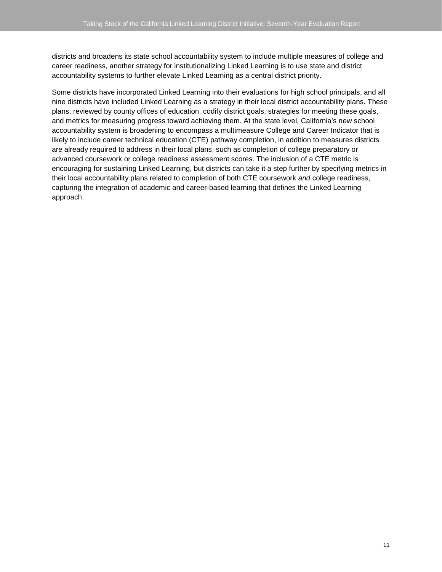districts and broadens its state school accountability system to include multiple measures of college and career readiness, another strategy for institutionalizing Linked Learning is to use state and district accountability systems to further elevate Linked Learning as a central district priority.

Some districts have incorporated Linked Learning into their evaluations for high school principals, and all nine districts have included Linked Learning as a strategy in their local district accountability plans. These plans, reviewed by county offices of education, codify district goals, strategies for meeting these goals, and metrics for measuring progress toward achieving them. At the state level, California's new school accountability system is broadening to encompass a multimeasure College and Career Indicator that is likely to include career technical education (CTE) pathway completion, in addition to measures districts are already required to address in their local plans, such as completion of college preparatory or advanced coursework or college readiness assessment scores. The inclusion of a CTE metric is encouraging for sustaining Linked Learning, but districts can take it a step further by specifying metrics in their local accountability plans related to completion of both CTE coursework *and* college readiness, capturing the integration of academic and career-based learning that defines the Linked Learning approach.